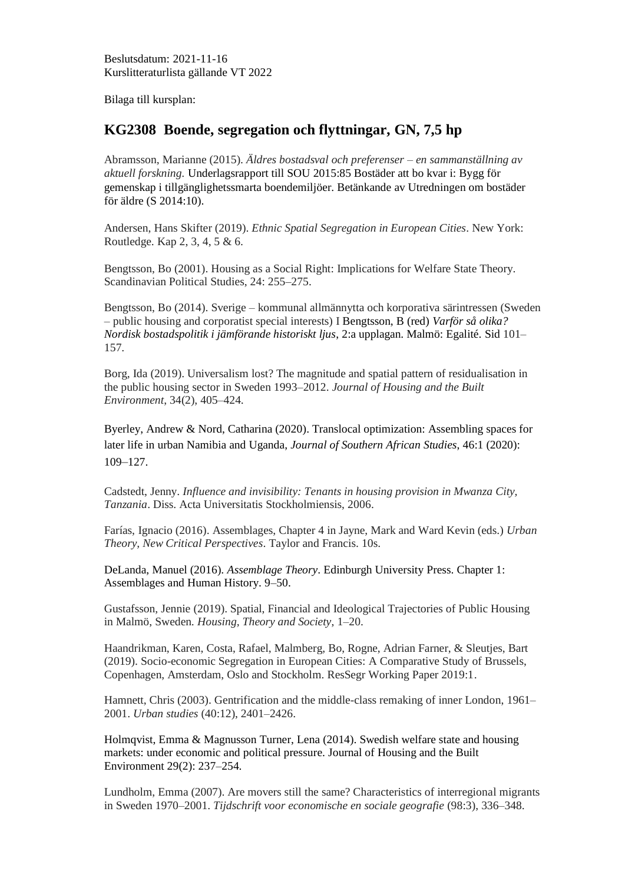Beslutsdatum: 2021-11-16 Kurslitteraturlista gällande VT 2022

Bilaga till kursplan:

## **KG2308 Boende, segregation och flyttningar, GN, 7,5 hp**

Abramsson, Marianne (2015). *Äldres bostadsval och preferenser – en sammanställning av aktuell forskning.* Underlagsrapport till SOU 2015:85 Bostäder att bo kvar i: Bygg för gemenskap i tillgänglighetssmarta boendemiljöer. Betänkande av Utredningen om bostäder för äldre (S 2014:10).

Andersen, Hans Skifter (2019). *Ethnic Spatial Segregation in European Cities*. New York: Routledge. Kap 2, 3, 4, 5 & 6.

Bengtsson, Bo (2001). Housing as a Social Right: Implications for Welfare State Theory. Scandinavian Political Studies, 24: 255–275.

Bengtsson, Bo (2014). Sverige – kommunal allmännytta och korporativa särintressen (Sweden – public housing and corporatist special interests) I Bengtsson, B (red) *Varför så olika? Nordisk bostadspolitik i jämförande historiskt ljus*, 2:a upplagan. Malmö: Egalité. Sid 101– 157.

Borg, Ida (2019). Universalism lost? The magnitude and spatial pattern of residualisation in the public housing sector in Sweden 1993–2012. *Journal of Housing and the Built Environment*, 34(2), 405–424.

Byerley, Andrew & Nord, Catharina (2020). Translocal optimization: Assembling spaces for later life in urban Namibia and Uganda, *Journal of Southern African Studies*, 46:1 (2020): 109–127.

Cadstedt, Jenny. *Influence and invisibility: Tenants in housing provision in Mwanza City, Tanzania*. Diss. Acta Universitatis Stockholmiensis, 2006.

Farías, Ignacio (2016). Assemblages, Chapter 4 in Jayne, Mark and Ward Kevin (eds.) *Urban Theory, New Critical Perspectives*. Taylor and Francis. 10s.

DeLanda, Manuel (2016). *Assemblage Theory*. Edinburgh University Press. Chapter 1: Assemblages and Human History. 9–50.

Gustafsson, Jennie (2019). Spatial, Financial and Ideological Trajectories of Public Housing in Malmö, Sweden. *Housing, Theory and Society*, 1–20.

Haandrikman, Karen, Costa, Rafael, Malmberg, Bo, Rogne, Adrian Farner, & Sleutjes, Bart (2019). Socio-economic Segregation in European Cities: A Comparative Study of Brussels, Copenhagen, Amsterdam, Oslo and Stockholm. ResSegr Working Paper 2019:1.

Hamnett, Chris (2003). Gentrification and the middle-class remaking of inner London, 1961– 2001. *Urban studies* (40:12), 2401–2426.

Holmqvist, Emma & Magnusson Turner, Lena (2014). Swedish welfare state and housing markets: under economic and political pressure. Journal of Housing and the Built Environment 29(2): 237–254.

Lundholm, Emma (2007). Are movers still the same? Characteristics of interregional migrants in Sweden 1970–2001. *Tijdschrift voor economische en sociale geografie* (98:3), 336–348.